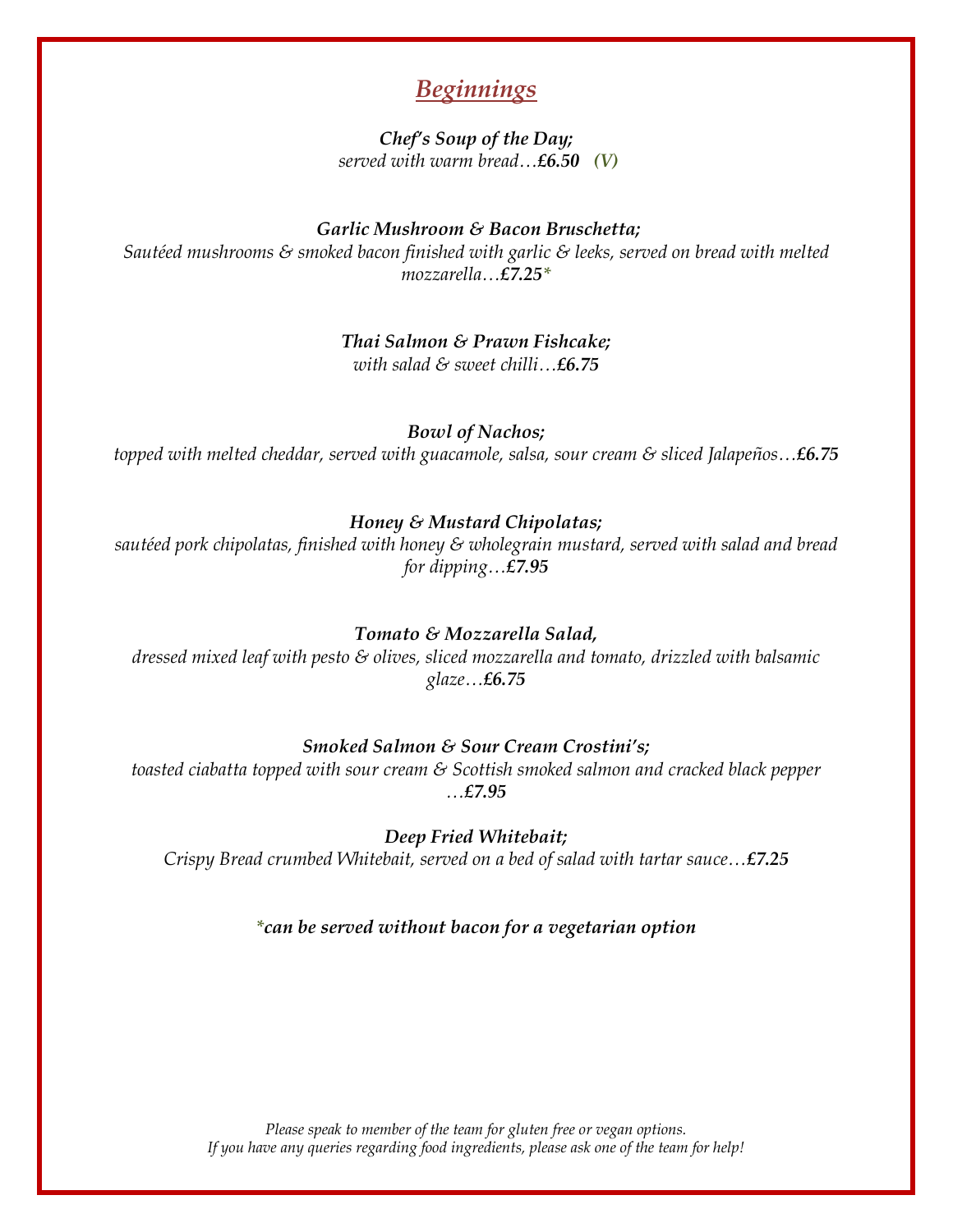# *Beginnings*

*Chef's Soup of the Day; served with warm bread…£6.50 (V)*

#### *Garlic Mushroom & Bacon Bruschetta;*

*Sautéed mushrooms & smoked bacon finished with garlic & leeks, served on bread with melted mozzarella…£7.25\**

> *Thai Salmon & Prawn Fishcake; with salad & sweet chilli…£6.75*

*Bowl of Nachos;*

*topped with melted cheddar, served with guacamole, salsa, sour cream & sliced Jalapeños…£6.75*

#### *Honey & Mustard Chipolatas;*

*sautéed pork chipolatas, finished with honey & wholegrain mustard, served with salad and bread for dipping…£7.95*

#### *Tomato & Mozzarella Salad,*

*dressed mixed leaf with pesto & olives, sliced mozzarella and tomato, drizzled with balsamic glaze…£6.75*

#### *Smoked Salmon & Sour Cream Crostini's;*

*toasted ciabatta topped with sour cream & Scottish smoked salmon and cracked black pepper …£7.95*

*Deep Fried Whitebait; Crispy Bread crumbed Whitebait, served on a bed of salad with tartar sauce…£7.25*

#### *\*can be served without bacon for a vegetarian option*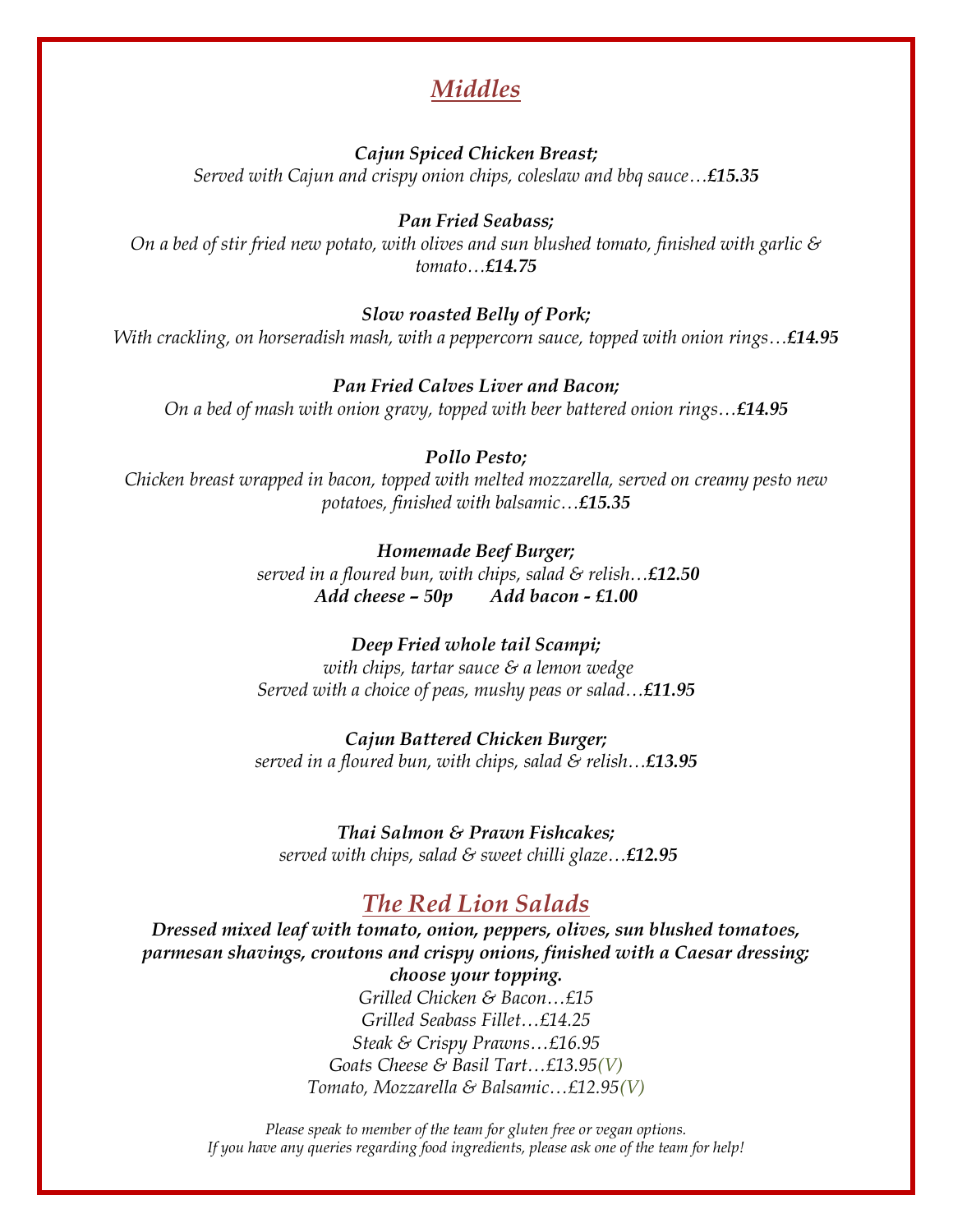# *Middles*

*Cajun Spiced Chicken Breast; Served with Cajun and crispy onion chips, coleslaw and bbq sauce…£15.35*

*Pan Fried Seabass;*

*On a bed of stir fried new potato, with olives and sun blushed tomato, finished with garlic & tomato…£14.75*

*Slow roasted Belly of Pork;*

*With crackling, on horseradish mash, with a peppercorn sauce, topped with onion rings…£14.95*

*Pan Fried Calves Liver and Bacon;*

*On a bed of mash with onion gravy, topped with beer battered onion rings…£14.95*

#### *Pollo Pesto;*

*Chicken breast wrapped in bacon, topped with melted mozzarella, served on creamy pesto new potatoes, finished with balsamic…£15.35*

> *Homemade Beef Burger; served in a floured bun, with chips, salad & relish…£12.50 Add cheese – 50p Add bacon - £1.00*

> *Deep Fried whole tail Scampi; with chips, tartar sauce & a lemon wedge Served with a choice of peas, mushy peas or salad…£11.95*

> *Cajun Battered Chicken Burger; served in a floured bun, with chips, salad & relish…£13.95*

*Thai Salmon & Prawn Fishcakes; served with chips, salad & sweet chilli glaze…£12.95*

# *The Red Lion Salads*

*Dressed mixed leaf with tomato, onion, peppers, olives, sun blushed tomatoes, parmesan shavings, croutons and crispy onions, finished with a Caesar dressing; choose your topping.*

*Grilled Chicken & Bacon…£15 Grilled Seabass Fillet…£14.25 Steak & Crispy Prawns…£16.95 Goats Cheese & Basil Tart…£13.95(V) Tomato, Mozzarella & Balsamic…£12.95(V)*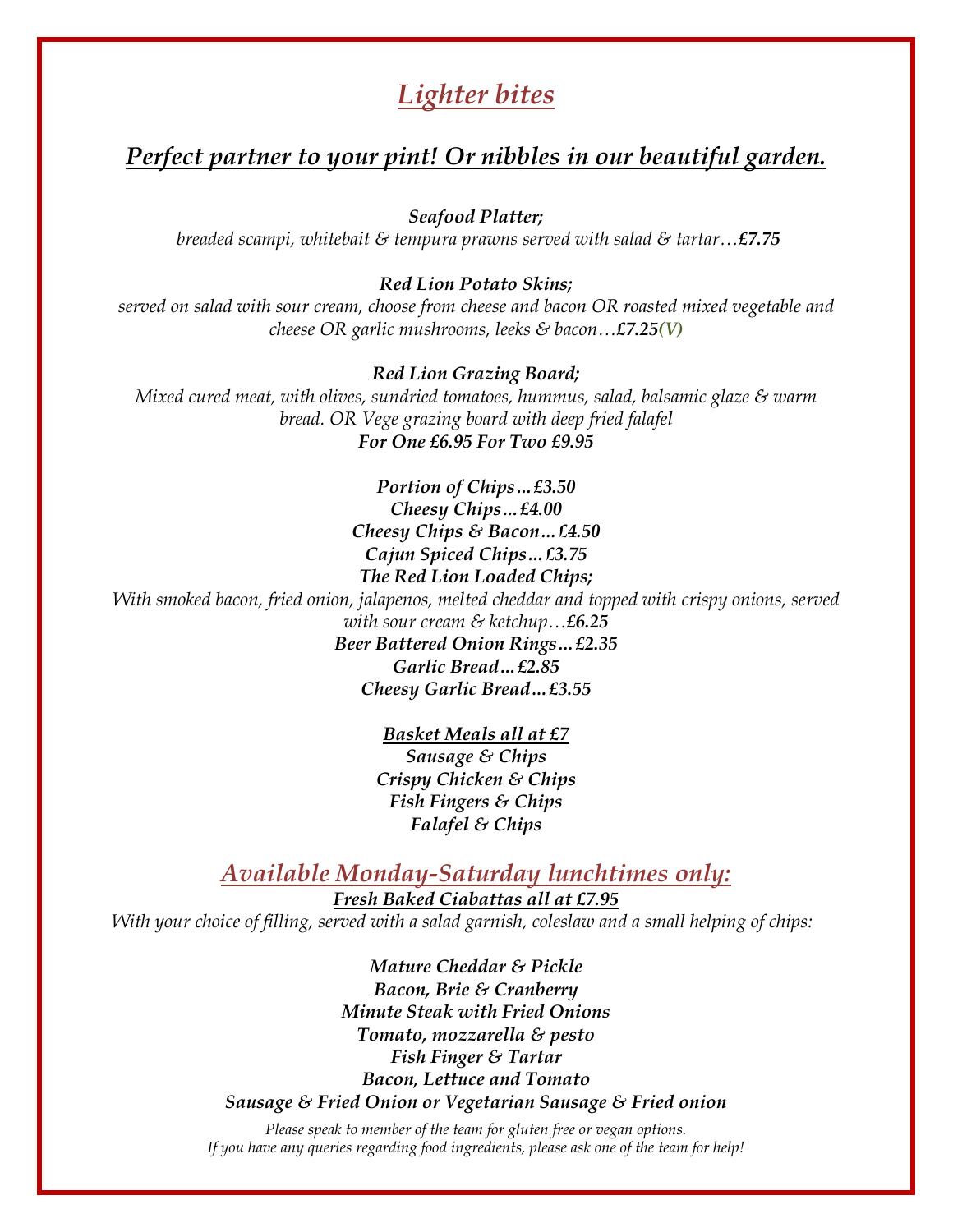# *Lighter bites*

## *Perfect partner to your pint! Or nibbles in our beautiful garden.*

*Seafood Platter;*

*breaded scampi, whitebait & tempura prawns served with salad & tartar…£7.75*

#### *Red Lion Potato Skins;*

*served on salad with sour cream, choose from cheese and bacon OR roasted mixed vegetable and cheese OR garlic mushrooms, leeks & bacon…£7.25(V)*

*Red Lion Grazing Board;* 

*Mixed cured meat, with olives, sundried tomatoes, hummus, salad, balsamic glaze & warm bread. OR Vege grazing board with deep fried falafel For One £6.95 For Two £9.95*

> *Portion of Chips…£3.50 Cheesy Chips…£4.00 Cheesy Chips & Bacon…£4.50 Cajun Spiced Chips…£3.75 The Red Lion Loaded Chips;*

*With smoked bacon, fried onion, jalapenos, melted cheddar and topped with crispy onions, served with sour cream & ketchup…£6.25*

> *Beer Battered Onion Rings…£2.35 Garlic Bread…£2.85 Cheesy Garlic Bread…£3.55*

> > *Basket Meals all at £7 Sausage & Chips Crispy Chicken & Chips Fish Fingers & Chips Falafel & Chips*

### *Available Monday-Saturday lunchtimes only:*

*Fresh Baked Ciabattas all at £7.95 With your choice of filling, served with a salad garnish, coleslaw and a small helping of chips:*

> *Mature Cheddar & Pickle Bacon, Brie & Cranberry Minute Steak with Fried Onions Tomato, mozzarella & pesto Fish Finger & Tartar Bacon, Lettuce and Tomato Sausage & Fried Onion or Vegetarian Sausage & Fried onion*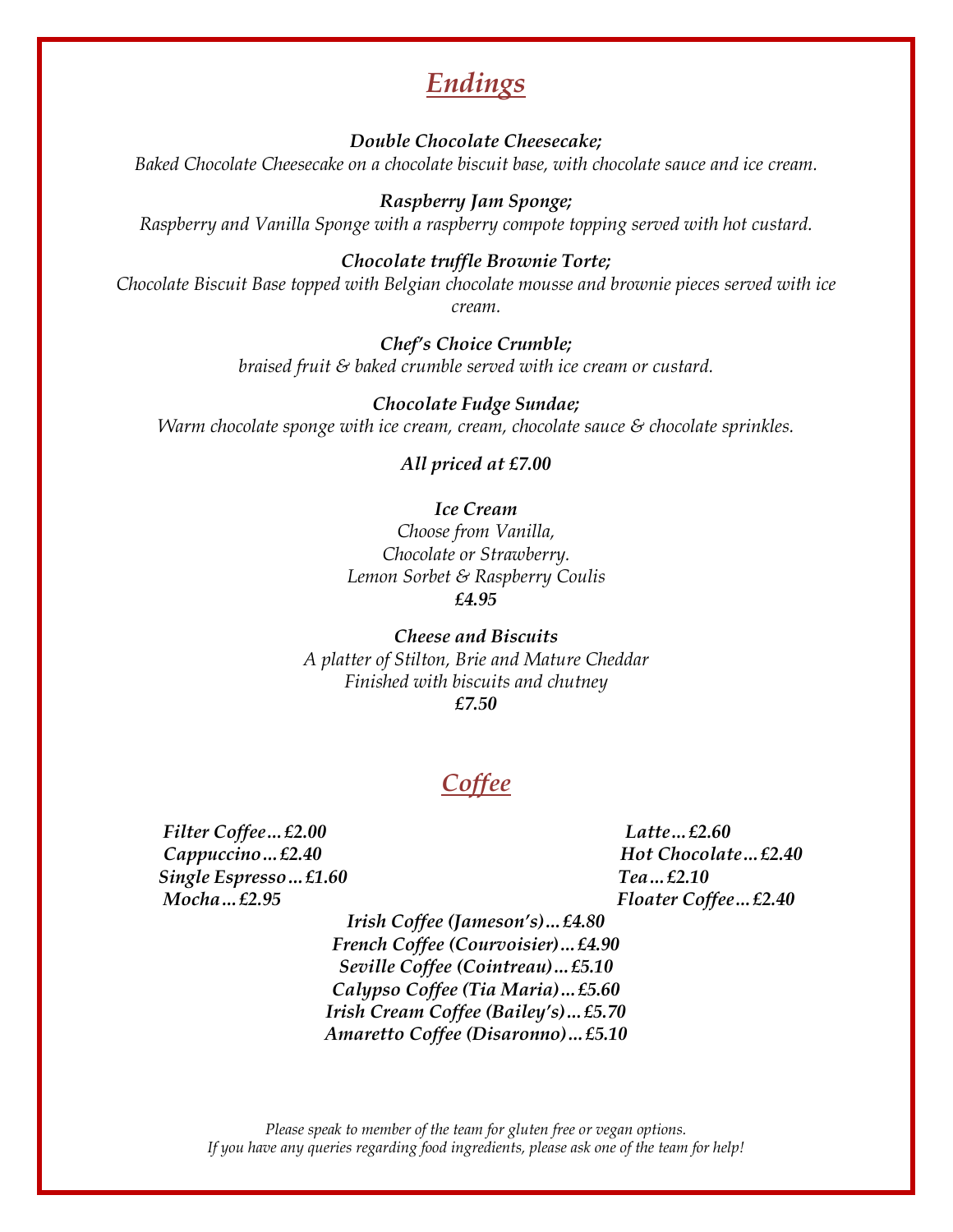# *Endings*

*Double Chocolate Cheesecake; Baked Chocolate Cheesecake on a chocolate biscuit base, with chocolate sauce and ice cream.*

*Raspberry Jam Sponge; Raspberry and Vanilla Sponge with a raspberry compote topping served with hot custard.*

*Chocolate truffle Brownie Torte; Chocolate Biscuit Base topped with Belgian chocolate mousse and brownie pieces served with ice cream.*

> *Chef's Choice Crumble; braised fruit & baked crumble served with ice cream or custard.*

*Chocolate Fudge Sundae; Warm chocolate sponge with ice cream, cream, chocolate sauce & chocolate sprinkles.*

*All priced at £7.00*

*Ice Cream Choose from Vanilla, Chocolate or Strawberry. Lemon Sorbet & Raspberry Coulis £4.95*

*Cheese and Biscuits A platter of Stilton, Brie and Mature Cheddar Finished with biscuits and chutney £7.50*

# *Coffee*

 *Filter Coffee…£2.00 Latte…£2.60 Cappuccino*… £2.40 **Hot Chocolate** ... £2.40  *Single Espresso…£1.60 Tea…£2.10 Mocha*… £2.95 *Floater Coffee*… £2.40

*Irish Coffee (Jameson's)…£4.80 French Coffee (Courvoisier)…£4.90 Seville Coffee (Cointreau)…£5.10 Calypso Coffee (Tia Maria)…£5.60 Irish Cream Coffee (Bailey's)…£5.70 Amaretto Coffee (Disaronno)…£5.10*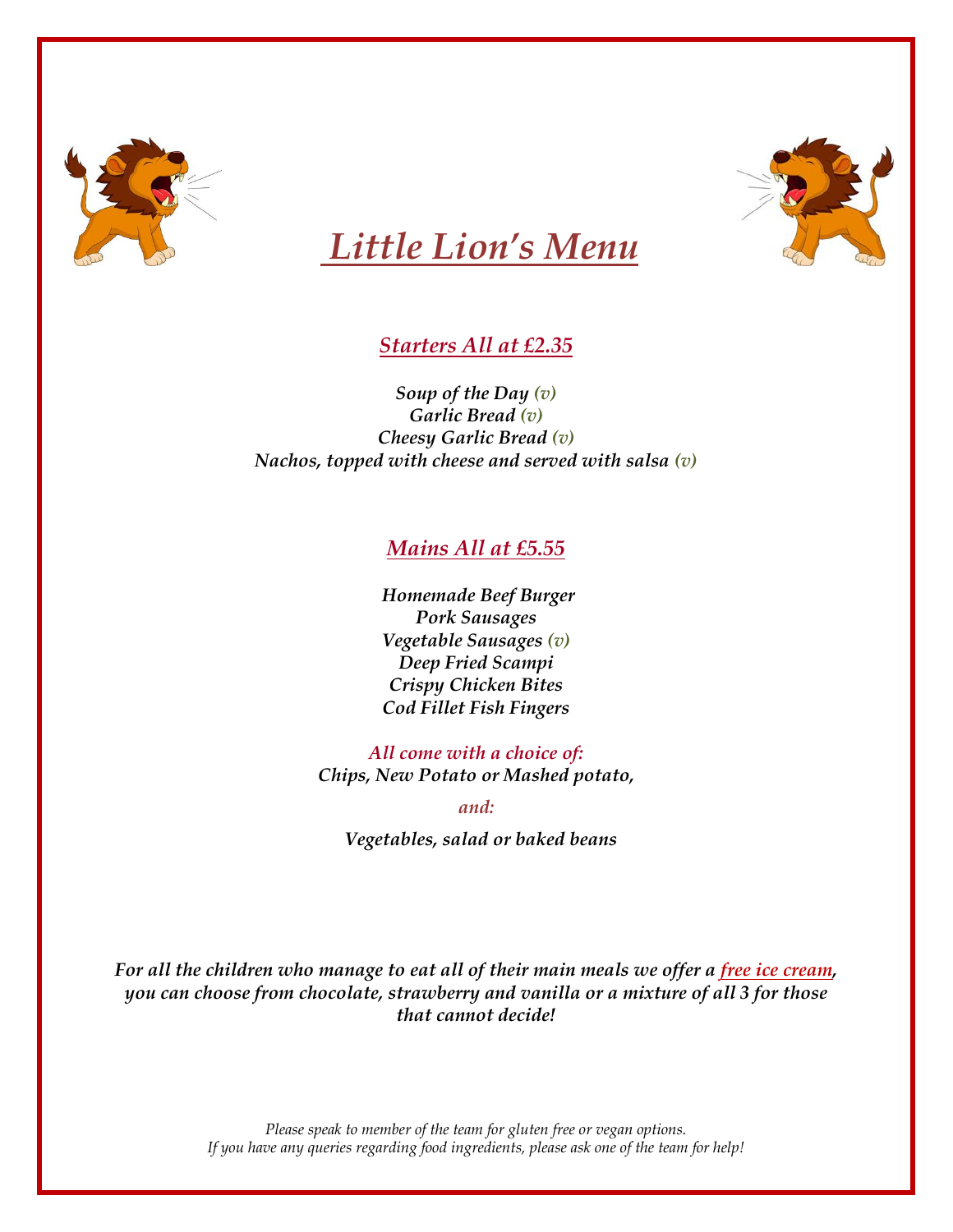



# *Little Lion's Menu*

### *Starters All at £2.35*

*Soup of the Day (v) Garlic Bread (v) Cheesy Garlic Bread (v) Nachos, topped with cheese and served with salsa (v)*

### *Mains All at £5.55*

*Homemade Beef Burger Pork Sausages Vegetable Sausages (v) Deep Fried Scampi Crispy Chicken Bites Cod Fillet Fish Fingers*

*All come with a choice of: Chips, New Potato or Mashed potato,*

*and:*

*Vegetables, salad or baked beans*

*For all the children who manage to eat all of their main meals we offer a free ice cream, you can choose from chocolate, strawberry and vanilla or a mixture of all 3 for those that cannot decide!*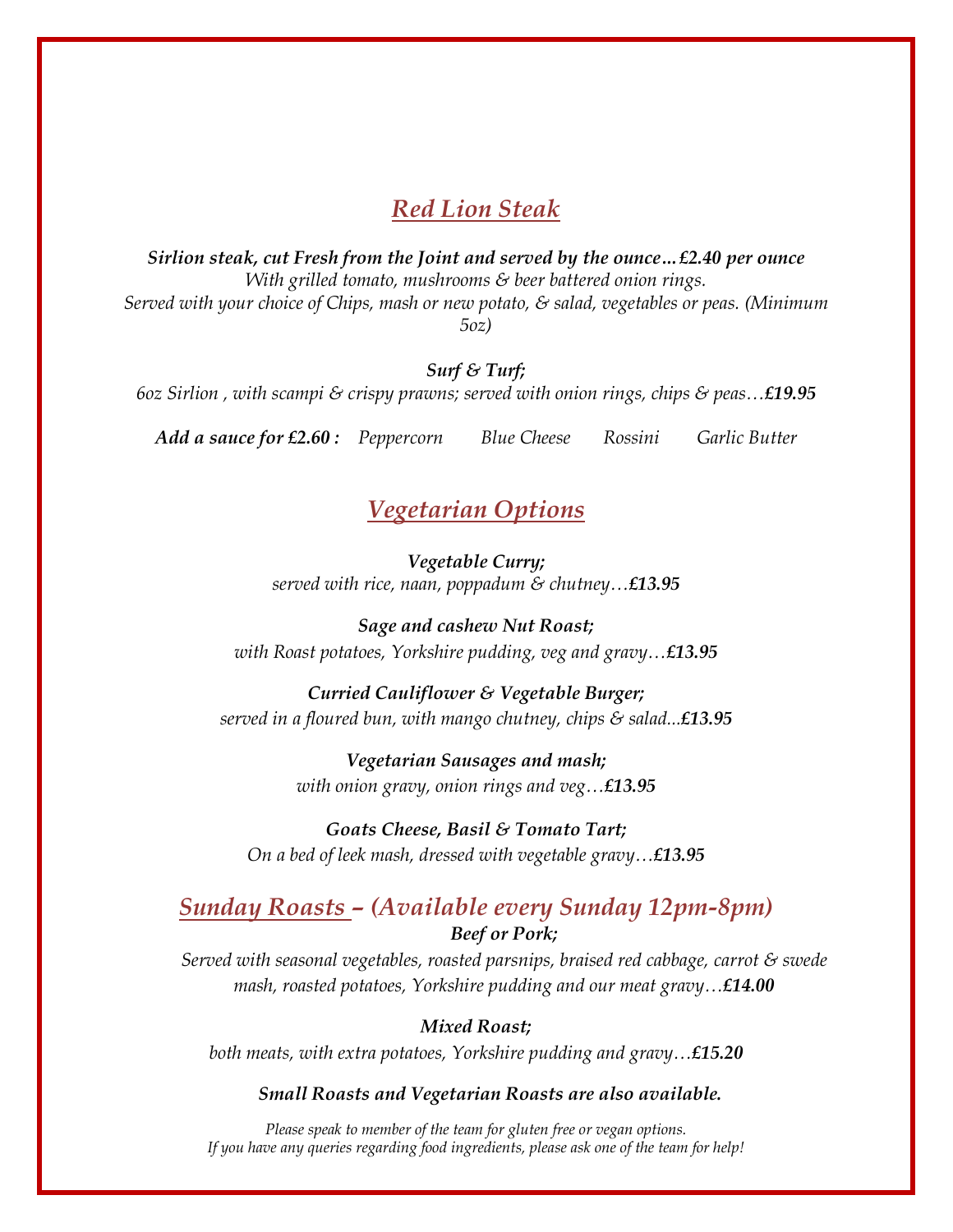### *Red Lion Steak*

*Sirlion steak, cut Fresh from the Joint and served by the ounce…£2.40 per ounce With grilled tomato, mushrooms & beer battered onion rings. Served with your choice of Chips, mash or new potato, & salad, vegetables or peas. (Minimum 5oz)*

*Surf & Turf;*

*6oz Sirlion , with scampi & crispy prawns; served with onion rings, chips & peas…£19.95*

*Add a sauce for £2.60 : Peppercorn Blue Cheese Rossini Garlic Butter*

### *Vegetarian Options*

*Vegetable Curry; served with rice, naan, poppadum & chutney…£13.95*

*Sage and cashew Nut Roast; with Roast potatoes, Yorkshire pudding, veg and gravy…£13.95*

*Curried Cauliflower & Vegetable Burger; served in a floured bun, with mango chutney, chips & salad...£13.95*

> *Vegetarian Sausages and mash; with onion gravy, onion rings and veg…£13.95*

*Goats Cheese, Basil & Tomato Tart; On a bed of leek mash, dressed with vegetable gravy…£13.95*

### *Sunday Roasts – (Available every Sunday 12pm-8pm) Beef or Pork;*

*Served with seasonal vegetables, roasted parsnips, braised red cabbage, carrot & swede mash, roasted potatoes, Yorkshire pudding and our meat gravy…£14.00*

*Mixed Roast; both meats, with extra potatoes, Yorkshire pudding and gravy…£15.20*

*Small Roasts and Vegetarian Roasts are also available.*